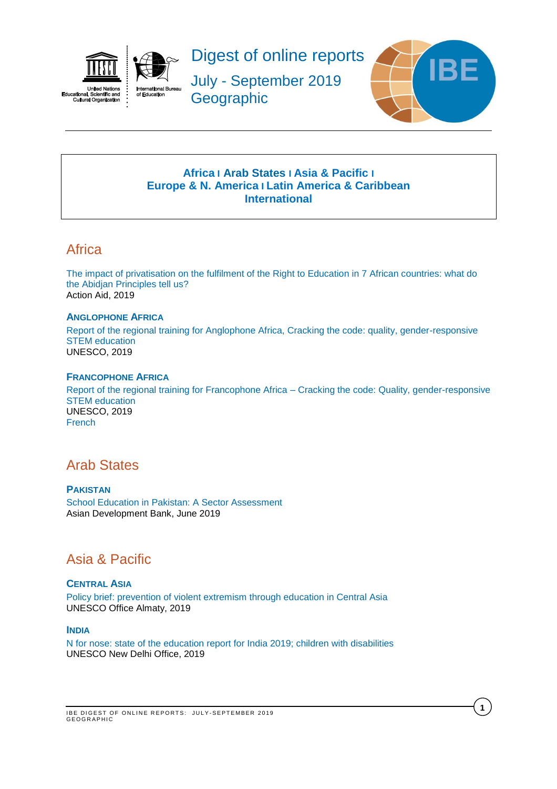<span id="page-0-2"></span>

ual, ociel<br>ural Orga Cult



Digest of online reports

July - September 2019 **Geographic** 



# **[Africa](#page-0-0) I [Arab States](#page-0-1) I [Asia & Pacific](#page-0-0) I [Europe & N. America](#page-1-0) I [Latin America & Caribbean](#page-1-1) [International](#page-1-2)**

# **Africa**

[The impact of privatisation on the fulfilment of the Right to Education in 7 African countries: what do](https://actionaid.org/sites/default/files/publications/Policy%20brief_0.pdf)  [the Abidjan Principles tell us?](https://actionaid.org/sites/default/files/publications/Policy%20brief_0.pdf) Action Aid, 2019

## **ANGLOPHONE AFRICA**

[Report of the regional training for Anglophone Africa, Cracking the code: quality, gender-responsive](https://unesdoc.unesco.org/ark:/48223/pf0000369978?posInSet=25&queryId=N-07ea377e-f12b-4ece-a353-67f0e1dc155e)  [STEM education](https://unesdoc.unesco.org/ark:/48223/pf0000369978?posInSet=25&queryId=N-07ea377e-f12b-4ece-a353-67f0e1dc155e) UNESCO, 2019

## **FRANCOPHONE AFRICA**

[Report of the regional training for Francophone Africa –](https://unesdoc.unesco.org/ark:/48223/pf0000367986_eng) Cracking the code: Quality, gender-responsive [STEM education](https://unesdoc.unesco.org/ark:/48223/pf0000367986_eng) UNESCO, 2019 [French](https://unesdoc.unesco.org/ark:/48223/pf0000367986)

# <span id="page-0-1"></span>Arab States

**PAKISTAN** [School Education in Pakistan: A Sector Assessment](https://www.adb.org/documents/pakistan-school-education-sector-assessment) Asian Development Bank, June 2019

# <span id="page-0-0"></span>Asia & Pacific

## **CENTRAL ASIA**

[Policy brief: prevention of violent extremism through education in Central Asia](https://unesdoc.unesco.org/ark:/48223/pf0000369242) UNESCO Office Almaty, 2019

## **INDIA**

[N for nose: state of the education report for India 2019; children with disabilities](https://unesdoc.unesco.org/ark:/48223/pf0000368780) UNESCO New Delhi Office, 2019

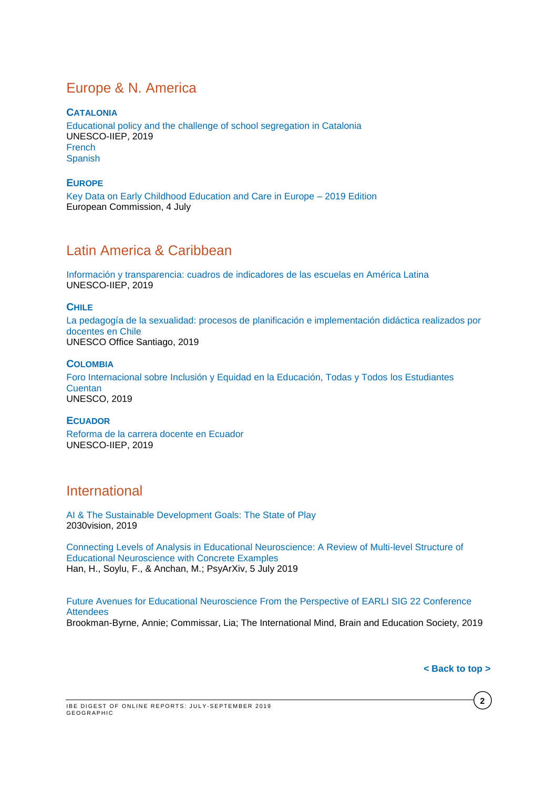# <span id="page-1-0"></span>Europe & N. America

**CATALONIA** [Educational policy and the challenge of school segregation in Catalonia](https://unesdoc.unesco.org/ark:/48223/pf0000261471_eng) UNESCO-IIEP, 2019 [French](https://unesdoc.unesco.org/ark:/48223/pf0000261471_fre) **[Spanish](https://unesdoc.unesco.org/ark:/48223/pf0000261471)** 

## **EUROPE**

[Key Data on Early Childhood Education and Care in Europe –](https://eacea.ec.europa.eu/national-policies/eurydice/content/key-data-early-childhood-education-and-care-europe-%E2%80%93-2019-edition_en) 2019 Edition European Commission, 4 July

# <span id="page-1-1"></span>Latin America & Caribbean

[Información y transparencia: cuadros de indicadores de las escuelas en América Latina](https://unesdoc.unesco.org/ark:/48223/pf0000370474) UNESCO-IIEP, 2019

### **CHILE**

[La pedagogía de la sexualidad: procesos de planificación e implementación didáctica realizados por](https://unesdoc.unesco.org/ark:/48223/pf0000369032?posInSet=26&queryId=N-84b6e118-92e9-4667-9db9-555b5db993db)  [docentes en Chile](https://unesdoc.unesco.org/ark:/48223/pf0000369032?posInSet=26&queryId=N-84b6e118-92e9-4667-9db9-555b5db993db) UNESCO Office Santiago, 2019

## **COLOMBIA**

[Foro Internacional sobre Inclusión y Equidad en la Educación, Todas y Todos los Estudiantes](https://unesdoc.unesco.org/ark:/48223/pf0000370418)  **[Cuentan](https://unesdoc.unesco.org/ark:/48223/pf0000370418)** UNESCO, 2019

#### **ECUADOR**

[Reforma de la carrera docente en Ecuador](https://unesdoc.unesco.org/ark:/48223/pf0000370074) UNESCO-IIEP, 2019

# <span id="page-1-2"></span>International

[AI & The Sustainable Development Goals: The State of Play](https://assets.2030vision.com/files/resources/resources/state-of-play-report.pdf) 2030vision, 2019

[Connecting Levels of Analysis in Educational Neuroscience: A Review of Multi-level Structure of](https://psyarxiv.com/czf2j/)  [Educational Neuroscience with Concrete Examples](https://psyarxiv.com/czf2j/) Han, H., Soylu, F., & Anchan, M.; PsyArXiv, 5 July 2019

[Future Avenues for Educational Neuroscience From the Perspective of EARLI SIG 22 Conference](https://onlinelibrary.wiley.com/doi/pdf/10.1111/mbe.12211)  **[Attendees](https://onlinelibrary.wiley.com/doi/pdf/10.1111/mbe.12211)** Brookman-Byrne, Annie; Commissar, Lia; The International Mind, Brain and Education Society, 2019

**[< Back to top >](#page-0-2)**

**2**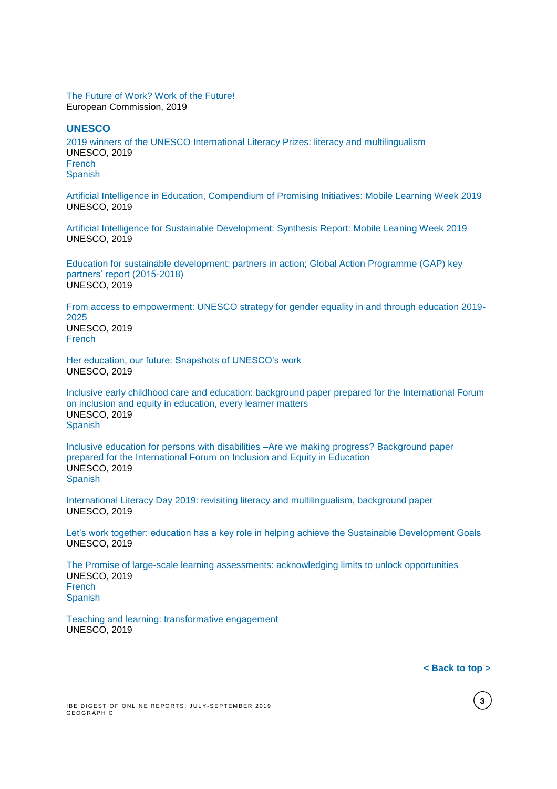#### [The Future of Work? Work of the Future!](https://ec.europa.eu/epsc/sites/epsc/files/ai-report_online-version.pdf) European Commission, 2019

#### **UNESCO**

[2019 winners of the UNESCO International Literacy Prizes: literacy and multilingualism](https://unesdoc.unesco.org/ark:/48223/pf0000370503) UNESCO, 2019 [French](https://unesdoc.unesco.org/ark:/48223/pf0000370503_fre) [Spanish](https://unesdoc.unesco.org/ark:/48223/pf0000370503_spa)

[Artificial Intelligence in Education, Compendium of Promising Initiatives: Mobile Learning Week 2019](https://unesdoc.unesco.org/ark:/48223/pf0000370307/PDF/370307eng.pdf.multi) UNESCO, 2019

[Artificial Intelligence for Sustainable Development: Synthesis Report: Mobile Leaning Week 2019](https://unesdoc.unesco.org/ark:/48223/pf0000370308) UNESCO, 2019

[Education for sustainable development: partners in action; Global Action Programme \(GAP\) key](https://unesdoc.unesco.org/ark:/48223/pf0000368829)  [partners' report \(2015-2018\)](https://unesdoc.unesco.org/ark:/48223/pf0000368829) UNESCO, 2019

[From access to empowerment: UNESCO strategy for gender equality in and through education 2019-](https://unesdoc.unesco.org/ark:/48223/pf0000369000) [2025](https://unesdoc.unesco.org/ark:/48223/pf0000369000) UNESCO, 2019 [French](https://unesdoc.unesco.org/ark:/48223/pf0000369001)

[Her education, our future: Snapshots of UNESCO's work](https://unesdoc.unesco.org/ark:/48223/pf0000369547) UNESCO, 2019

[Inclusive early childhood care and education: background paper prepared for the International Forum](https://unesdoc.unesco.org/ark:/48223/pf0000370417)  [on inclusion and equity in education, every learner matters](https://unesdoc.unesco.org/ark:/48223/pf0000370417) UNESCO, 2019 [Spanish](https://unesdoc.unesco.org/ark:/48223/pf0000370417_spa)

[Inclusive education for persons with disabilities –Are we making progress? Background paper](https://unesdoc.unesco.org/ark:/48223/pf0000370386)  [prepared for the International Forum on Inclusion and Equity in Education](https://unesdoc.unesco.org/ark:/48223/pf0000370386)  UNESCO, 2019 [Spanish](https://unesdoc.unesco.org/ark:/48223/pf0000370386_spa)

[International Literacy Day 2019: revisiting literacy and multilingualism, background paper](https://unesdoc.unesco.org/ark:/48223/pf0000370416) UNESCO, 2019

[Let's work together: education has a key role in helping achieve the Sustainable Development Goals](https://unesdoc.unesco.org/ark:/48223/pf0000369006) UNESCO, 2019

[The Promise of large-scale learning assessments: acknowledging limits to unlock opportunities](https://unesdoc.unesco.org/ark:/48223/pf0000369697?posInSet=2&queryId=N-07ea377e-f12b-4ece-a353-67f0e1dc155e) UNESCO, 2019 **[French](https://unesdoc.unesco.org/ark:/48223/pf0000369946)** [Spanish](https://unesdoc.unesco.org/ark:/48223/pf0000369947)

[Teaching and learning: transformative engagement](https://unesdoc.unesco.org/ark:/48223/pf0000368961) UNESCO, 2019

**[< Back to top >](#page-0-2)**

**3**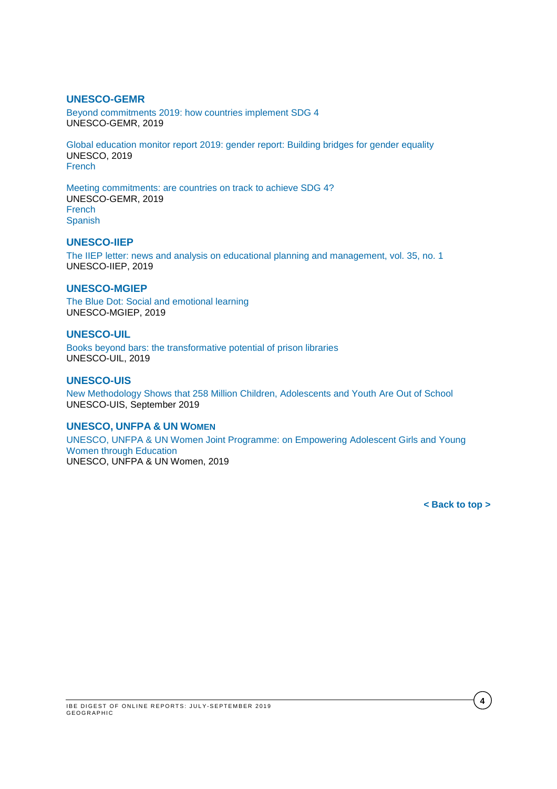## **UNESCO-GEMR**

[Beyond commitments 2019: how countries implement SDG 4](https://unesdoc.unesco.org/ark:/48223/pf0000369008) UNESCO-GEMR, 2019

[Global education monitor report 2019: gender report: Building bridges for gender equality](https://unesdoc.unesco.org/ark:/48223/pf0000368753) UNESCO, 2019 [French](https://unesdoc.unesco.org/ark:/48223/pf0000369007)

[Meeting commitments: are countries on track to achieve SDG 4?](https://unesdoc.unesco.org/ark:/48223/pf0000369009) UNESCO-GEMR, 2019 [French](https://unesdoc.unesco.org/ark:/48223/pf0000369009_fre) [Spanish](https://unesdoc.unesco.org/ark:/48223/pf0000369009_spa)

### **UNESCO-IIEP**

[The IIEP letter: news and analysis on educational planning and management, vol. 35, no. 1](https://unesdoc.unesco.org/ark:/48223/pf0000369019?posInSet=18&queryId=N-84b6e118-92e9-4667-9db9-555b5db993db) UNESCO-IIEP, 2019

#### **UNESCO-MGIEP**

[The Blue Dot: Social and emotional learning](https://unesdoc.unesco.org/ark:/48223/pf0000369079) UNESCO-MGIEP, 2019

### **UNESCO-UIL**

[Books beyond bars: the transformative potential of prison libraries](https://unesdoc.unesco.org/ark:/48223/pf0000369835) UNESCO-UIL, 2019

#### **UNESCO-UIS**

[New Methodology Shows that 258 Million Children, Adolescents and Youth Are Out of School](http://uis.unesco.org/sites/default/files/documents/new-methodology-shows-258-million-children-adolescents-and-youth-are-out-school.pdf) UNESCO-UIS, September 2019

### **UNESCO, UNFPA & UN WOMEN**

[UNESCO, UNFPA & UN Women Joint Programme: on Empowering Adolescent Girls and Young](https://unesdoc.unesco.org/ark:/48223/pf0000368657?posInSet=42&queryId=N-07ea377e-f12b-4ece-a353-67f0e1dc155e)  [Women through Education](https://unesdoc.unesco.org/ark:/48223/pf0000368657?posInSet=42&queryId=N-07ea377e-f12b-4ece-a353-67f0e1dc155e) UNESCO, UNFPA & UN Women, 2019

**[< Back to top >](#page-0-2)**